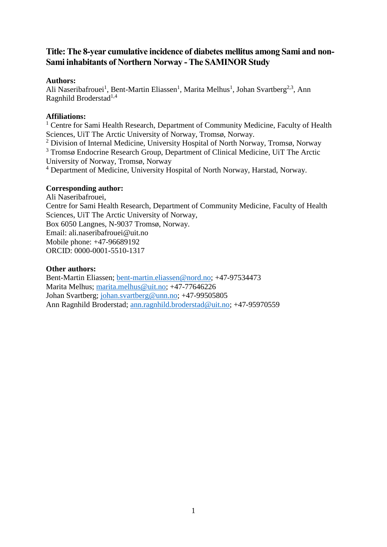# **Title: The 8-year cumulative incidence of diabetes mellitus among Sami and non-Sami inhabitants of Northern Norway -The SAMINOR Study**

## **Authors:**

Ali Naseribafrouei<sup>1</sup>, Bent-Martin Eliassen<sup>1</sup>, Marita Melhus<sup>1</sup>, Johan Svartberg<sup>2,3</sup>, Ann Ragnhild Broderstad<sup>1,4</sup>

# **Affiliations:**

<sup>1</sup> Centre for Sami Health Research, Department of Community Medicine, Faculty of Health Sciences, UiT The Arctic University of Norway, Tromsø, Norway.

<sup>2</sup> Division of Internal Medicine, University Hospital of North Norway, Tromsø, Norway

<sup>3</sup> Tromsø Endocrine Research Group, Department of Clinical Medicine, UiT The Arctic University of Norway, Tromsø, Norway

<sup>4</sup> Department of Medicine, University Hospital of North Norway, Harstad, Norway.

# **Corresponding author:**

Ali Naseribafrouei, Centre for Sami Health Research, Department of Community Medicine, Faculty of Health Sciences, UiT The Arctic University of Norway, Box 6050 Langnes, N-9037 Tromsø, Norway. Email: ali.naseribafrouei@uit.no Mobile phone: +47-96689192 ORCID: 0000-0001-5510-1317

# **Other authors:**

Bent-Martin Eliassen; [bent-martin.eliassen@nord.no;](mailto:bent-martin.eliassen@nord.no) +47-97534473 Marita Melhus; [marita.melhus@uit.no;](mailto:marita.melhus@uit.no) +47-77646226 Johan Svartberg; [johan.svartberg@unn.no;](mailto:johan.svartberg@unn.no) +47-99505805 Ann Ragnhild Broderstad; [ann.ragnhild.broderstad@uit.no;](mailto:ann.ragnhild.broderstad@uit.no) +47-95970559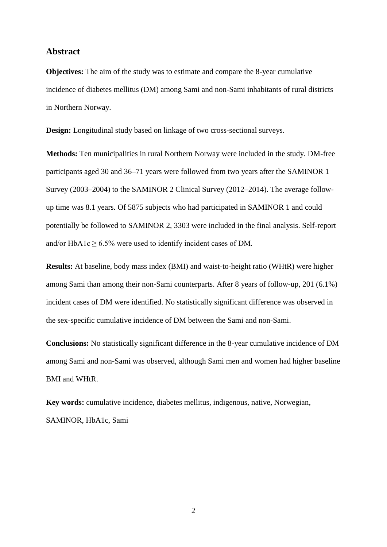## **Abstract**

**Objectives:** The aim of the study was to estimate and compare the 8-year cumulative incidence of diabetes mellitus (DM) among Sami and non-Sami inhabitants of rural districts in Northern Norway.

**Design:** Longitudinal study based on linkage of two cross-sectional surveys.

**Methods:** Ten municipalities in rural Northern Norway were included in the study. DM-free participants aged 30 and 36–71 years were followed from two years after the SAMINOR 1 Survey (2003–2004) to the SAMINOR 2 Clinical Survey (2012–2014). The average followup time was 8.1 years. Of 5875 subjects who had participated in SAMINOR 1 and could potentially be followed to SAMINOR 2, 3303 were included in the final analysis. Self-report and/or HbA1c  $\geq$  6.5% were used to identify incident cases of DM.

**Results:** At baseline, body mass index (BMI) and waist-to-height ratio (WHtR) were higher among Sami than among their non-Sami counterparts. After 8 years of follow-up, 201 (6.1%) incident cases of DM were identified. No statistically significant difference was observed in the sex-specific cumulative incidence of DM between the Sami and non-Sami.

**Conclusions:** No statistically significant difference in the 8-year cumulative incidence of DM among Sami and non-Sami was observed, although Sami men and women had higher baseline BMI and WHtR.

**Key words:** cumulative incidence, diabetes mellitus, indigenous, native, Norwegian, SAMINOR, HbA1c, Sami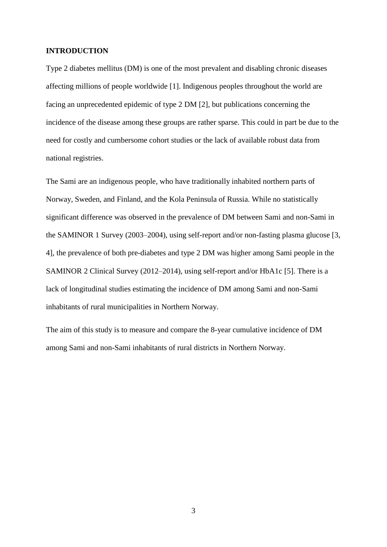### **INTRODUCTION**

Type 2 diabetes mellitus (DM) is one of the most prevalent and disabling chronic diseases affecting millions of people worldwide [1]. Indigenous peoples throughout the world are facing an unprecedented epidemic of type 2 DM [2], but publications concerning the incidence of the disease among these groups are rather sparse. This could in part be due to the need for costly and cumbersome cohort studies or the lack of available robust data from national registries.

The Sami are an indigenous people, who have traditionally inhabited northern parts of Norway, Sweden, and Finland, and the Kola Peninsula of Russia. While no statistically significant difference was observed in the prevalence of DM between Sami and non-Sami in the SAMINOR 1 Survey (2003–2004), using self-report and/or non-fasting plasma glucose [3, 4], the prevalence of both pre-diabetes and type 2 DM was higher among Sami people in the SAMINOR 2 Clinical Survey (2012–2014), using self-report and/or HbA1c [5]. There is a lack of longitudinal studies estimating the incidence of DM among Sami and non-Sami inhabitants of rural municipalities in Northern Norway.

The aim of this study is to measure and compare the 8-year cumulative incidence of DM among Sami and non-Sami inhabitants of rural districts in Northern Norway.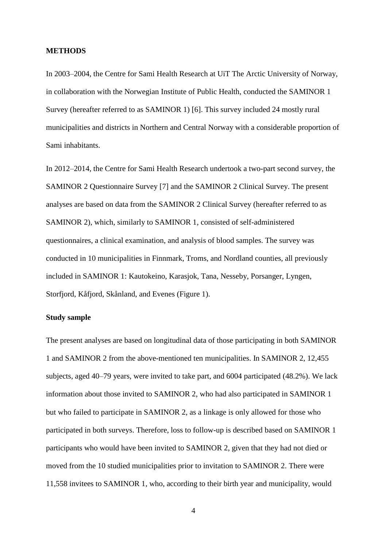#### **METHODS**

In 2003–2004, the Centre for Sami Health Research at UiT The Arctic University of Norway, in collaboration with the Norwegian Institute of Public Health, conducted the SAMINOR 1 Survey (hereafter referred to as SAMINOR 1) [6]. This survey included 24 mostly rural municipalities and districts in Northern and Central Norway with a considerable proportion of Sami inhabitants.

In 2012–2014, the Centre for Sami Health Research undertook a two-part second survey, the SAMINOR 2 Questionnaire Survey [7] and the SAMINOR 2 Clinical Survey. The present analyses are based on data from the SAMINOR 2 Clinical Survey (hereafter referred to as SAMINOR 2), which, similarly to SAMINOR 1, consisted of self-administered questionnaires, a clinical examination, and analysis of blood samples. The survey was conducted in 10 municipalities in Finnmark, Troms, and Nordland counties, all previously included in SAMINOR 1: Kautokeino, Karasjok, Tana, Nesseby, Porsanger, Lyngen, Storfjord, Kåfjord, Skånland, and Evenes (Figure 1).

### **Study sample**

The present analyses are based on longitudinal data of those participating in both SAMINOR 1 and SAMINOR 2 from the above-mentioned ten municipalities. In SAMINOR 2, 12,455 subjects, aged 40–79 years, were invited to take part, and 6004 participated (48.2%). We lack information about those invited to SAMINOR 2, who had also participated in SAMINOR 1 but who failed to participate in SAMINOR 2, as a linkage is only allowed for those who participated in both surveys. Therefore, loss to follow-up is described based on SAMINOR 1 participants who would have been invited to SAMINOR 2, given that they had not died or moved from the 10 studied municipalities prior to invitation to SAMINOR 2. There were 11,558 invitees to SAMINOR 1, who, according to their birth year and municipality, would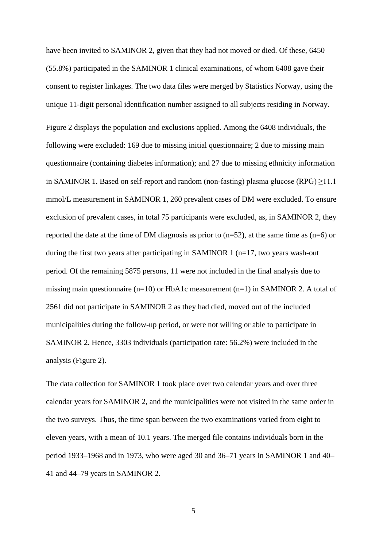have been invited to SAMINOR 2, given that they had not moved or died. Of these, 6450 (55.8%) participated in the SAMINOR 1 clinical examinations, of whom 6408 gave their consent to register linkages. The two data files were merged by Statistics Norway, using the unique 11-digit personal identification number assigned to all subjects residing in Norway.

Figure 2 displays the population and exclusions applied. Among the 6408 individuals, the following were excluded: 169 due to missing initial questionnaire; 2 due to missing main questionnaire (containing diabetes information); and 27 due to missing ethnicity information in SAMINOR 1. Based on self-report and random (non-fasting) plasma glucose (RPG)  $\geq$ 11.1 mmol/L measurement in SAMINOR 1, 260 prevalent cases of DM were excluded. To ensure exclusion of prevalent cases, in total 75 participants were excluded, as, in SAMINOR 2, they reported the date at the time of DM diagnosis as prior to  $(n=52)$ , at the same time as  $(n=6)$  or during the first two years after participating in SAMINOR 1 ( $n=17$ , two years wash-out period. Of the remaining 5875 persons, 11 were not included in the final analysis due to missing main questionnaire  $(n=10)$  or HbA1c measurement  $(n=1)$  in SAMINOR 2. A total of 2561 did not participate in SAMINOR 2 as they had died, moved out of the included municipalities during the follow-up period, or were not willing or able to participate in SAMINOR 2. Hence, 3303 individuals (participation rate: 56.2%) were included in the analysis (Figure 2).

The data collection for SAMINOR 1 took place over two calendar years and over three calendar years for SAMINOR 2, and the municipalities were not visited in the same order in the two surveys. Thus, the time span between the two examinations varied from eight to eleven years, with a mean of 10.1 years. The merged file contains individuals born in the period 1933–1968 and in 1973, who were aged 30 and 36–71 years in SAMINOR 1 and 40– 41 and 44–79 years in SAMINOR 2.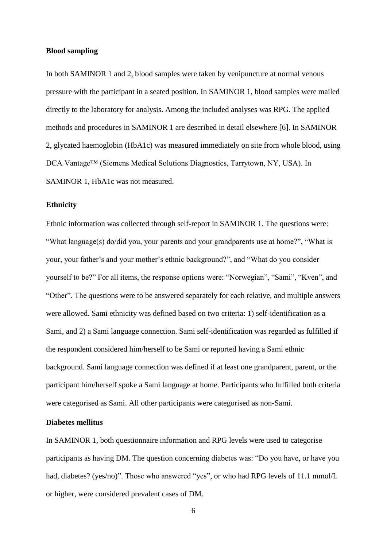#### **Blood sampling**

In both SAMINOR 1 and 2, blood samples were taken by venipuncture at normal venous pressure with the participant in a seated position. In SAMINOR 1, blood samples were mailed directly to the laboratory for analysis. Among the included analyses was RPG. The applied methods and procedures in SAMINOR 1 are described in detail elsewhere [6]. In SAMINOR 2, glycated haemoglobin (HbA1c) was measured immediately on site from whole blood, using DCA Vantage™ (Siemens Medical Solutions Diagnostics, Tarrytown, NY, USA). In SAMINOR 1, HbA1c was not measured.

#### **Ethnicity**

Ethnic information was collected through self-report in SAMINOR 1. The questions were: "What language(s) do/did you, your parents and your grandparents use at home?", "What is your, your father's and your mother's ethnic background?", and "What do you consider yourself to be?" For all items, the response options were: "Norwegian", "Sami", "Kven", and "Other". The questions were to be answered separately for each relative, and multiple answers were allowed. Sami ethnicity was defined based on two criteria: 1) self-identification as a Sami, and 2) a Sami language connection. Sami self-identification was regarded as fulfilled if the respondent considered him/herself to be Sami or reported having a Sami ethnic background. Sami language connection was defined if at least one grandparent, parent, or the participant him/herself spoke a Sami language at home. Participants who fulfilled both criteria were categorised as Sami. All other participants were categorised as non-Sami.

### **Diabetes mellitus**

In SAMINOR 1, both questionnaire information and RPG levels were used to categorise participants as having DM. The question concerning diabetes was: "Do you have, or have you had, diabetes? (yes/no)". Those who answered "yes", or who had RPG levels of 11.1 mmol/L or higher, were considered prevalent cases of DM.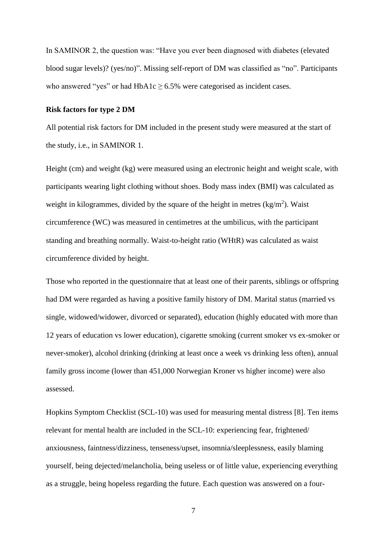In SAMINOR 2, the question was: "Have you ever been diagnosed with diabetes (elevated blood sugar levels)? (yes/no)". Missing self-report of DM was classified as "no". Participants who answered "yes" or had  $HbA1c \ge 6.5%$  were categorised as incident cases.

#### **Risk factors for type 2 DM**

All potential risk factors for DM included in the present study were measured at the start of the study, i.e., in SAMINOR 1.

Height (cm) and weight (kg) were measured using an electronic height and weight scale, with participants wearing light clothing without shoes. Body mass index (BMI) was calculated as weight in kilogrammes, divided by the square of the height in metres  $\frac{kg}{m^2}$ . Waist circumference (WC) was measured in centimetres at the umbilicus, with the participant standing and breathing normally. Waist-to-height ratio (WHtR) was calculated as waist circumference divided by height.

Those who reported in the questionnaire that at least one of their parents, siblings or offspring had DM were regarded as having a positive family history of DM. Marital status (married vs single, widowed/widower, divorced or separated), education (highly educated with more than 12 years of education vs lower education), cigarette smoking (current smoker vs ex-smoker or never-smoker), alcohol drinking (drinking at least once a week vs drinking less often), annual family gross income (lower than 451,000 Norwegian Kroner vs higher income) were also assessed.

Hopkins Symptom Checklist (SCL-10) was used for measuring mental distress [8]. Ten items relevant for mental health are included in the SCL-10: experiencing fear, frightened/ anxiousness, faintness/dizziness, tenseness/upset, insomnia/sleeplessness, easily blaming yourself, being dejected/melancholia, being useless or of little value, experiencing everything as a struggle, being hopeless regarding the future. Each question was answered on a four-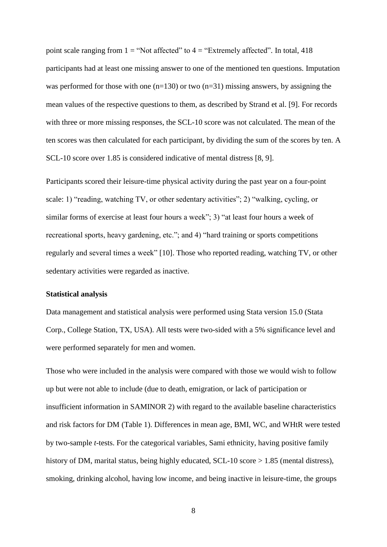point scale ranging from  $1 =$  "Not affected" to  $4 =$  "Extremely affected". In total, 418 participants had at least one missing answer to one of the mentioned ten questions. Imputation was performed for those with one  $(n=130)$  or two  $(n=31)$  missing answers, by assigning the mean values of the respective questions to them, as described by Strand et al. [9]. For records with three or more missing responses, the SCL-10 score was not calculated. The mean of the ten scores was then calculated for each participant, by dividing the sum of the scores by ten. A SCL-10 score over 1.85 is considered indicative of mental distress [8, 9].

Participants scored their leisure-time physical activity during the past year on a four-point scale: 1) "reading, watching TV, or other sedentary activities"; 2) "walking, cycling, or similar forms of exercise at least four hours a week"; 3) "at least four hours a week of recreational sports, heavy gardening, etc."; and 4) "hard training or sports competitions regularly and several times a week" [10]. Those who reported reading, watching TV, or other sedentary activities were regarded as inactive.

#### **Statistical analysis**

Data management and statistical analysis were performed using Stata version 15.0 (Stata Corp., College Station, TX, USA). All tests were two-sided with a 5% significance level and were performed separately for men and women.

Those who were included in the analysis were compared with those we would wish to follow up but were not able to include (due to death, emigration, or lack of participation or insufficient information in SAMINOR 2) with regard to the available baseline characteristics and risk factors for DM (Table 1). Differences in mean age, BMI, WC, and WHtR were tested by two-sample *t*-tests. For the categorical variables, Sami ethnicity, having positive family history of DM, marital status, being highly educated, SCL-10 score > 1.85 (mental distress), smoking, drinking alcohol, having low income, and being inactive in leisure-time, the groups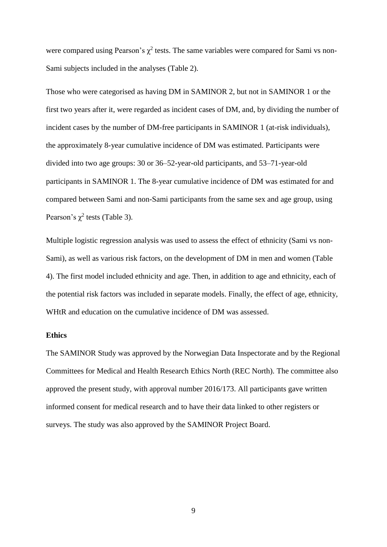were compared using Pearson's  $\chi^2$  tests. The same variables were compared for Sami vs non-Sami subjects included in the analyses (Table 2).

Those who were categorised as having DM in SAMINOR 2, but not in SAMINOR 1 or the first two years after it, were regarded as incident cases of DM, and, by dividing the number of incident cases by the number of DM-free participants in SAMINOR 1 (at-risk individuals), the approximately 8-year cumulative incidence of DM was estimated. Participants were divided into two age groups: 30 or 36–52-year-old participants, and 53–71-year-old participants in SAMINOR 1. The 8-year cumulative incidence of DM was estimated for and compared between Sami and non-Sami participants from the same sex and age group, using Pearson's  $\chi^2$  tests (Table 3).

Multiple logistic regression analysis was used to assess the effect of ethnicity (Sami vs non-Sami), as well as various risk factors, on the development of DM in men and women (Table 4). The first model included ethnicity and age. Then, in addition to age and ethnicity, each of the potential risk factors was included in separate models. Finally, the effect of age, ethnicity, WHtR and education on the cumulative incidence of DM was assessed.

#### **Ethics**

The SAMINOR Study was approved by the Norwegian Data Inspectorate and by the Regional Committees for Medical and Health Research Ethics North (REC North). The committee also approved the present study, with approval number 2016/173. All participants gave written informed consent for medical research and to have their data linked to other registers or surveys. The study was also approved by the SAMINOR Project Board.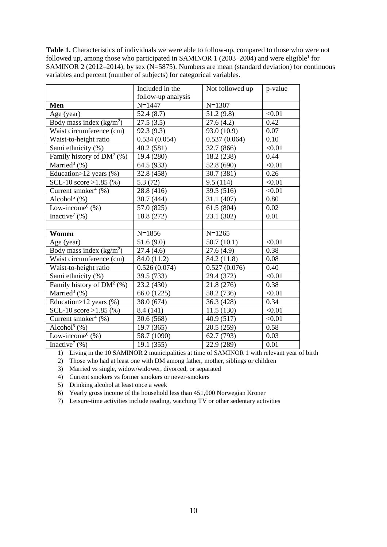**Table 1.** Characteristics of individuals we were able to follow-up, compared to those who were not followed up, among those who participated in SAMINOR 1 (2003–2004) and were eligible<sup>1</sup> for SAMINOR 2 (2012–2014), by sex (N=5875). Numbers are mean (standard deviation) for continuous variables and percent (number of subjects) for categorical variables.

|                                    | Included in the          | Not followed up | p-value |
|------------------------------------|--------------------------|-----------------|---------|
|                                    | follow-up analysis       |                 |         |
| Men                                | $N = 1447$               | $N = 1307$      |         |
| Age (year)                         | 52.4(8.7)                | 51.2 (9.8)      | < 0.01  |
| Body mass index $(kg/m2)$          | 27.5(3.5)                | 27.6(4.2)       | 0.42    |
| Waist circumference (cm)           | 92.3(9.3)                | 93.0 (10.9)     | 0.07    |
| Waist-to-height ratio              | 0.534(0.054)             | 0.537(0.064)    | 0.10    |
| Sami ethnicity (%)                 | 40.2 (581)<br>32.7 (866) |                 | < 0.01  |
| Family history of $DM2(%)$         | 19.4 (280)               | 18.2 (238)      | 0.44    |
| Married <sup>3</sup> $(\%)$        | 64.5 (933)               | 52.8 (690)      | < 0.01  |
| Education > $12$ years (%)         | 32.8 (458)               | 30.7 (381)      | 0.26    |
| SCL-10 score >1.85 $(\%)$          | 5.3(72)                  | 9.5(114)        | < 0.01  |
| Current smoker <sup>4</sup> (%)    | 28.8 (416)               | 39.5 (516)      | < 0.01  |
| Alcohol $5$ (%)                    | 30.7 (444)               | 31.1 (407)      | 0.80    |
| Low-income $(%)$                   | 57.0 (825)               | 61.5(804)       | 0.02    |
| Inactive <sup>7</sup> $(\%)$       | 18.8 (272)               | 23.1 (302)      | 0.01    |
|                                    |                          |                 |         |
| Women                              | $N = 1856$               | $N = 1265$      |         |
| Age (year)                         | 51.6(9.0)                | 50.7(10.1)      | < 0.01  |
| Body mass index $(kg/m2)$          | 27.4(4.6)                | 27.6(4.9)       | 0.38    |
| Waist circumference (cm)           | 84.0 (11.2)              | 84.2 (11.8)     | 0.08    |
| Waist-to-height ratio              | 0.526(0.074)             | 0.527(0.076)    | 0.40    |
| Sami ethnicity (%)                 | 39.5 (733)               | 29.4 (372)      | < 0.01  |
| Family history of $DM2(%)$         | 23.2 (430)               | 21.8 (276)      | 0.38    |
| Married <sup>3</sup> $(\%)$        | 66.0 (1225)              | 58.2 (736)      | < 0.01  |
| Education>12 years (%)             | 38.0 (674)               | 36.3 (428)      | 0.34    |
| SCL-10 score > 1.85 $(\%)$         | 8.4 (141)                | 11.5(130)       | < 0.01  |
| Current smoker <sup>4</sup> $(\%)$ | 30.6 (568)               | 40.9 (517)      | < 0.01  |
| Alcohol $5$ (%)                    | 19.7 (365)               | 20.5 (259)      | 0.58    |
| Low-income $(%)$                   | 58.7 (1090)              | 62.7 (793)      | 0.03    |
| Inactive <sup>7</sup> $(\%)$       | 19.1 (355)               | 22.9 (289)      | 0.01    |

1) Living in the 10 SAMINOR 2 municipalities at time of SAMINOR 1 with relevant year of birth

2) Those who had at least one with DM among father, mother, siblings or children

3) Married vs single, widow/widower, divorced, or separated

4) Current smokers vs former smokers or never-smokers

5) Drinking alcohol at least once a week

6) Yearly gross income of the household less than 451,000 Norwegian Kroner

7) Leisure-time activities include reading, watching TV or other sedentary activities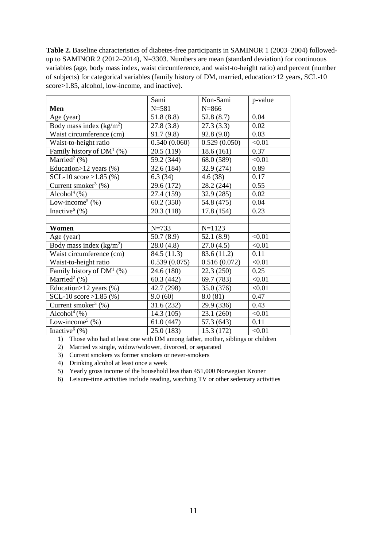**Table 2.** Baseline characteristics of diabetes-free participants in SAMINOR 1 (2003–2004) followedup to SAMINOR 2 (2012–2014), N=3303. Numbers are mean (standard deviation) for continuous variables (age, body mass index, waist circumference, and waist-to-height ratio) and percent (number of subjects) for categorical variables (family history of DM, married, education>12 years, SCL-10 score>1.85, alcohol, low-income, and inactive).

|                                         | Sami         | Non-Sami     | p-value |
|-----------------------------------------|--------------|--------------|---------|
| Men                                     | $N = 581$    | $N = 866$    |         |
| Age (year)                              | 51.8(8.8)    | 52.8(8.7)    | 0.04    |
| Body mass index $(kg/m2)$               | 27.8(3.8)    | 27.3(3.3)    | 0.02    |
| Waist circumference (cm)                | 91.7(9.8)    | 92.8(9.0)    | 0.03    |
| Waist-to-height ratio                   | 0.540(0.060) | 0.529(0.050) | < 0.01  |
| Family history of $DM1(%)$              | 20.5(119)    | 18.6(161)    | 0.37    |
| Married <sup>2</sup> $(\%)$             | 59.2 (344)   | 68.0 (589)   | < 0.01  |
| Education > $12$ years (%)              | 32.6 (184)   | 32.9 (274)   | 0.89    |
| SCL-10 score $>1.85$ (%)                | 6.3(34)      | 4.6(38)      | 0.17    |
| Current smoker <sup>3</sup> $(\% )$     | 29.6 (172)   | 28.2 (244)   | 0.55    |
| Alcohol $(%)$                           | 27.4 (159)   | 32.9 (285)   | 0.02    |
| Low-income <sup>5</sup> $(\%)$          | 60.2(350)    | 54.8 (475)   | 0.04    |
| Inactive <sup>6</sup> $(\% )$           | 20.3 (118)   | 17.8 (154)   | 0.23    |
|                                         |              |              |         |
| Women                                   | $N = 733$    | $N = 1123$   |         |
| Age (year)                              | 50.7(8.9)    | 52.1 (8.9)   | < 0.01  |
| Body mass index $(kg/m2)$               | 28.0(4.8)    | 27.0(4.5)    | < 0.01  |
| Waist circumference (cm)                | 84.5 (11.3)  | 83.6 (11.2)  | 0.11    |
| Waist-to-height ratio                   | 0.539(0.075) | 0.516(0.072) | < 0.01  |
| Family history of $DM1(%)$              | 24.6 (180)   | 22.3 (250)   | 0.25    |
| Married <sup>2</sup> $(\%)$             | 60.3(442)    | 69.7 (783)   | < 0.01  |
| Education>12 years (%)                  | 42.7 (298)   | 35.0 (376)   | < 0.01  |
| SCL-10 score > 1.85 $(\%)$              | 9.0(60)      | 8.0(81)      | 0.47    |
| Current smoker <sup>3</sup> $(\%)$      | 31.6(232)    | 29.9 (336)   | 0.43    |
| Alcohol $(% )$                          | 14.3(105)    | 23.1 (260)   | < 0.01  |
| Low-income <sup>5</sup> $(\frac{9}{6})$ | 61.0(447)    | 57.3 (643)   | 0.11    |
| Inactive <sup>6</sup> $(\%)$            | 25.0(183)    | 15.3(172)    | < 0.01  |

1) Those who had at least one with DM among father, mother, siblings or children

2) Married vs single, widow/widower, divorced, or separated

3) Current smokers vs former smokers or never-smokers

4) Drinking alcohol at least once a week

5) Yearly gross income of the household less than 451,000 Norwegian Kroner

6) Leisure-time activities include reading, watching TV or other sedentary activities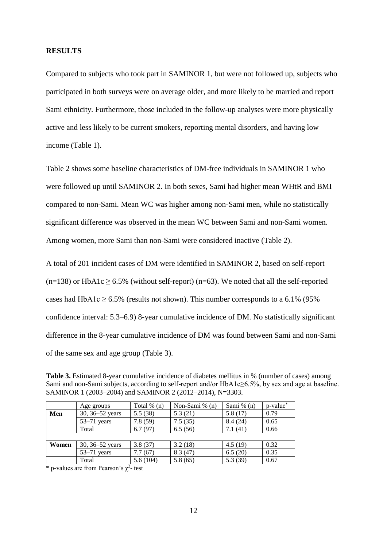### **RESULTS**

Compared to subjects who took part in SAMINOR 1, but were not followed up, subjects who participated in both surveys were on average older, and more likely to be married and report Sami ethnicity. Furthermore, those included in the follow-up analyses were more physically active and less likely to be current smokers, reporting mental disorders, and having low income (Table 1).

Table 2 shows some baseline characteristics of DM-free individuals in SAMINOR 1 who were followed up until SAMINOR 2. In both sexes, Sami had higher mean WHtR and BMI compared to non-Sami. Mean WC was higher among non-Sami men, while no statistically significant difference was observed in the mean WC between Sami and non-Sami women. Among women, more Sami than non-Sami were considered inactive (Table 2).

A total of 201 incident cases of DM were identified in SAMINOR 2, based on self-report  $(n=138)$  or HbA1c  $\geq 6.5\%$  (without self-report) (n=63). We noted that all the self-reported cases had HbA1c  $\geq$  6.5% (results not shown). This number corresponds to a 6.1% (95%) confidence interval: 5.3–6.9) 8-year cumulative incidence of DM. No statistically significant difference in the 8-year cumulative incidence of DM was found between Sami and non-Sami of the same sex and age group (Table 3).

**Table 3.** Estimated 8-year cumulative incidence of diabetes mellitus in % (number of cases) among Sami and non-Sami subjects, according to self-report and/or HbA1c≥6.5%, by sex and age at baseline. SAMINOR 1 (2003–2004) and SAMINOR 2 (2012–2014), N=3303.

|       | Age groups                 | Total $\%$ (n) | Non-Sami $% (n)$ | Sami $% (n)$ | $p$ -value $*$ |
|-------|----------------------------|----------------|------------------|--------------|----------------|
| Men   | 30, 36–52 years<br>5.5(38) |                | 5.3(21)          | 5.8(17)      | 0.79           |
|       | $53-71$ years              | 7.8(59)        | 7.5(35)          | 8.4(24)      | 0.65           |
|       | Total                      | 6.7(97)        | 6.5(56)          | 7.1(41)      | 0.66           |
|       |                            |                |                  |              |                |
| Women | 30, $36 - 52$ years        | 3.8(37)        | 3.2(18)          | 4.5(19)      | 0.32           |
|       | $53-71$ years              | 7.7(67)        | 8.3(47)          | 6.5(20)      | 0.35           |
|       | Total                      | 5.6(104)       | 5.8(65)          | 5.3(39)      | 0.67           |

\* p-values are from Pearson's  $\chi^2$ - test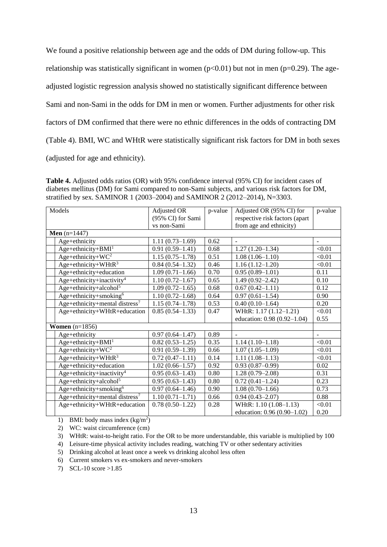We found a positive relationship between age and the odds of DM during follow-up. This relationship was statistically significant in women  $(p<0.01)$  but not in men  $(p=0.29)$ . The ageadjusted logistic regression analysis showed no statistically significant difference between Sami and non-Sami in the odds for DM in men or women. Further adjustments for other risk factors of DM confirmed that there were no ethnic differences in the odds of contracting DM (Table 4). BMI, WC and WHtR were statistically significant risk factors for DM in both sexes (adjusted for age and ethnicity).

**Table 4.** Adjusted odds ratios (OR) with 95% confidence interval (95% CI) for incident cases of diabetes mellitus (DM) for Sami compared to non-Sami subjects, and various risk factors for DM, stratified by sex. SAMINOR 1 (2003–2004) and SAMINOR 2 (2012–2014), N=3303.

|                  | Models                                                 | Adjusted OR         | p-value | Adjusted OR (95% CI) for       | p-value |
|------------------|--------------------------------------------------------|---------------------|---------|--------------------------------|---------|
|                  |                                                        | (95% CI) for Sami   |         | respective risk factors (apart |         |
|                  |                                                        | vs non-Sami         |         | from age and ethnicity)        |         |
|                  | <b>Men</b> $(n=1447)$                                  |                     |         |                                |         |
|                  | Age+ethnicity                                          | $1.11(0.73-1.69)$   | 0.62    | $\blacksquare$                 |         |
|                  | Age+ethnicity+BMI <sup>1</sup>                         | $0.91(0.59-1.41)$   | 0.68    | $1.27(1.20-1.34)$              | < 0.01  |
|                  | Age+ethnicity+ $WC^2$                                  | $1.15(0.75-1.78)$   | 0.51    | $1.08(1.06-1.10)$              | < 0.01  |
|                  | Age+ethnicity+WHt $R^3$                                | $0.84(0.54 - 1.32)$ | 0.46    | $1.16(1.12-1.20)$              | < 0.01  |
|                  | Age+ethnicity+education                                | $1.09(0.71-1.66)$   | 0.70    | $0.95(0.89-1.01)$              | 0.11    |
|                  | Age+ethnicity+inactivity <sup>4</sup>                  | $1.10(0.72 - 1.67)$ | 0.65    | $1.49(0.92 - 2.42)$            | 0.10    |
|                  | Age+ethnicity+alcohol <sup>5</sup>                     | $1.09(0.72 - 1.65)$ | 0.68    | $0.67(0.42 - 1.11)$            | 0.12    |
|                  | Age+ethnicity+smoking6                                 | $1.10(0.72 - 1.68)$ | 0.64    | $0.97(0.61 - 1.54)$            | 0.90    |
|                  | Age+ethnicity+mental distress <sup>7</sup>             | $1.15(0.74 - 1.78)$ | 0.53    | $0.40(0.10-1.64)$              | 0.20    |
|                  | Age+ethnicity+WHtR+education                           | $0.85(0.54 - 1.33)$ | 0.47    | WHtR: 1.17 (1.12-1.21)         | < 0.01  |
|                  |                                                        |                     |         | education: 0.98 (0.92-1.04)    | 0.55    |
| Women $(n=1856)$ |                                                        |                     |         |                                |         |
|                  | Age+ethnicity                                          | $0.97(0.64 - 1.47)$ | 0.89    |                                |         |
|                  | $Age+ethnicity+BMI1$                                   | $0.82(0.53-1.25)$   | 0.35    | $1.14(1.10-1.18)$              | < 0.01  |
|                  | Age+ethnicity+ $WC^2$                                  | $0.91(0.59-1.39)$   | 0.66    | $1.07(1.05-1.09)$              | < 0.01  |
|                  | Age+ethnicity+WHt $R^3$                                | $0.72(0.47-1.11)$   | 0.14    | $1.11(1.08-1.13)$              | < 0.01  |
|                  | Age+ethnicity+education                                | $1.02(0.66 - 1.57)$ | 0.92    | $0.93(0.87-0.99)$              | 0.02    |
|                  | Age+ethnicity+inactivity <sup>4</sup>                  | $0.95(0.63 - 1.43)$ | 0.80    | $1.28(0.79-2.08)$              | 0.31    |
|                  | Age+ethnicity+alcohol <sup>5</sup>                     | $0.95(0.63 - 1.43)$ | 0.80    | $0.72(0.41-1.24)$              | 0.23    |
|                  | $Age + \text{ethnicity} + \text{smoking}$ <sup>6</sup> | $0.97(0.64 - 1.46)$ | 0.90    | $1.08(0.70-1.66)$              | 0.73    |
|                  | Age+ethnicity+mental distress <sup>7</sup>             | $1.10(0.71 - 1.71)$ | 0.66    | $0.94(0.43 - 2.07)$            | 0.88    |
|                  | Age+ethnicity+WHtR+education                           | $0.78(0.50-1.22)$   | 0.28    | WHtR: 1.10 (1.08-1.13)         | < 0.01  |
|                  |                                                        |                     |         | education: 0.96 (0.90-1.02)    | 0.20    |

1) BMI: body mass index  $(kg/m<sup>2</sup>)$ 

2) WC: waist circumference (cm)

3) WHtR: waist-to-height ratio. For the OR to be more understandable, this variable is multiplied by 100

4) Leisure-time physical activity includes reading, watching TV or other sedentary activities

5) Drinking alcohol at least once a week vs drinking alcohol less often

6) Current smokers vs ex-smokers and never-smokers

7) SCL-10 score >1.85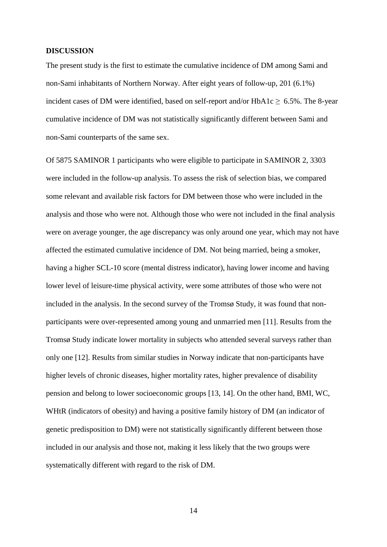### **DISCUSSION**

The present study is the first to estimate the cumulative incidence of DM among Sami and non-Sami inhabitants of Northern Norway. After eight years of follow-up, 201 (6.1%) incident cases of DM were identified, based on self-report and/or  $HbA1c \geq 6.5\%$ . The 8-year cumulative incidence of DM was not statistically significantly different between Sami and non-Sami counterparts of the same sex.

Of 5875 SAMINOR 1 participants who were eligible to participate in SAMINOR 2, 3303 were included in the follow-up analysis. To assess the risk of selection bias, we compared some relevant and available risk factors for DM between those who were included in the analysis and those who were not. Although those who were not included in the final analysis were on average younger, the age discrepancy was only around one year, which may not have affected the estimated cumulative incidence of DM. Not being married, being a smoker, having a higher SCL-10 score (mental distress indicator), having lower income and having lower level of leisure-time physical activity, were some attributes of those who were not included in the analysis. In the second survey of the Tromsø Study, it was found that nonparticipants were over-represented among young and unmarried men [11]. Results from the Tromsø Study indicate lower mortality in subjects who attended several surveys rather than only one [12]. Results from similar studies in Norway indicate that non-participants have higher levels of chronic diseases, higher mortality rates, higher prevalence of disability pension and belong to lower socioeconomic groups [13, 14]. On the other hand, BMI, WC, WHtR (indicators of obesity) and having a positive family history of DM (an indicator of genetic predisposition to DM) were not statistically significantly different between those included in our analysis and those not, making it less likely that the two groups were systematically different with regard to the risk of DM.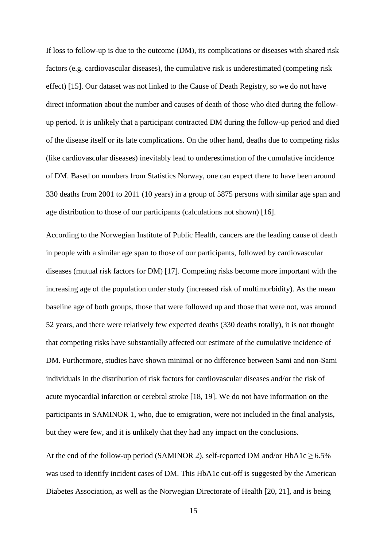If loss to follow-up is due to the outcome (DM), its complications or diseases with shared risk factors (e.g. cardiovascular diseases), the cumulative risk is underestimated (competing risk effect) [15]. Our dataset was not linked to the Cause of Death Registry, so we do not have direct information about the number and causes of death of those who died during the followup period. It is unlikely that a participant contracted DM during the follow-up period and died of the disease itself or its late complications. On the other hand, deaths due to competing risks (like cardiovascular diseases) inevitably lead to underestimation of the cumulative incidence of DM. Based on numbers from Statistics Norway, one can expect there to have been around 330 deaths from 2001 to 2011 (10 years) in a group of 5875 persons with similar age span and age distribution to those of our participants (calculations not shown) [16].

According to the Norwegian Institute of Public Health, cancers are the leading cause of death in people with a similar age span to those of our participants, followed by cardiovascular diseases (mutual risk factors for DM) [17]. Competing risks become more important with the increasing age of the population under study (increased risk of multimorbidity). As the mean baseline age of both groups, those that were followed up and those that were not, was around 52 years, and there were relatively few expected deaths (330 deaths totally), it is not thought that competing risks have substantially affected our estimate of the cumulative incidence of DM. Furthermore, studies have shown minimal or no difference between Sami and non-Sami individuals in the distribution of risk factors for cardiovascular diseases and/or the risk of acute myocardial infarction or cerebral stroke [18, 19]. We do not have information on the participants in SAMINOR 1, who, due to emigration, were not included in the final analysis, but they were few, and it is unlikely that they had any impact on the conclusions.

At the end of the follow-up period (SAMINOR 2), self-reported DM and/or  $HbA1c \ge 6.5\%$ was used to identify incident cases of DM. This HbA1c cut-off is suggested by the American Diabetes Association, as well as the Norwegian Directorate of Health [20, 21], and is being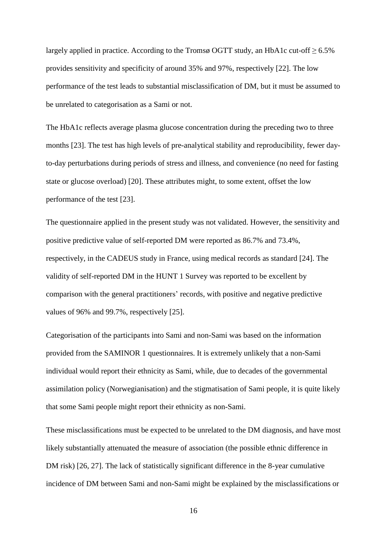largely applied in practice. According to the Tromsø OGTT study, an HbA1c cut-off  $\geq 6.5\%$ provides sensitivity and specificity of around 35% and 97%, respectively [22]. The low performance of the test leads to substantial misclassification of DM, but it must be assumed to be unrelated to categorisation as a Sami or not.

The HbA1c reflects average plasma glucose concentration during the preceding two to three months [23]. The test has high levels of pre-analytical stability and reproducibility, fewer dayto-day perturbations during periods of stress and illness, and convenience (no need for fasting state or glucose overload) [20]. These attributes might, to some extent, offset the low performance of the test [23].

The questionnaire applied in the present study was not validated. However, the sensitivity and positive predictive value of self-reported DM were reported as 86.7% and 73.4%, respectively, in the CADEUS study in France, using medical records as standard [24]. The validity of self-reported DM in the HUNT 1 Survey was reported to be excellent by comparison with the general practitioners' records, with positive and negative predictive values of 96% and 99.7%, respectively [25].

Categorisation of the participants into Sami and non-Sami was based on the information provided from the SAMINOR 1 questionnaires. It is extremely unlikely that a non-Sami individual would report their ethnicity as Sami, while, due to decades of the governmental assimilation policy (Norwegianisation) and the stigmatisation of Sami people, it is quite likely that some Sami people might report their ethnicity as non-Sami.

These misclassifications must be expected to be unrelated to the DM diagnosis, and have most likely substantially attenuated the measure of association (the possible ethnic difference in DM risk) [26, 27]. The lack of statistically significant difference in the 8-year cumulative incidence of DM between Sami and non-Sami might be explained by the misclassifications or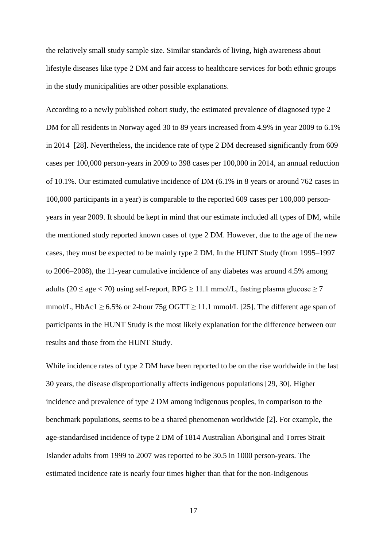the relatively small study sample size. Similar standards of living, high awareness about lifestyle diseases like type 2 DM and fair access to healthcare services for both ethnic groups in the study municipalities are other possible explanations.

According to a newly published cohort study, the estimated prevalence of diagnosed type 2 DM for all residents in Norway aged 30 to 89 years increased from 4.9% in year 2009 to 6.1% in 2014 [28]. Nevertheless, the incidence rate of type 2 DM decreased significantly from 609 cases per 100,000 person-years in 2009 to 398 cases per 100,000 in 2014, an annual reduction of 10.1%. Our estimated cumulative incidence of DM (6.1% in 8 years or around 762 cases in 100,000 participants in a year) is comparable to the reported 609 cases per 100,000 personyears in year 2009. It should be kept in mind that our estimate included all types of DM, while the mentioned study reported known cases of type 2 DM. However, due to the age of the new cases, they must be expected to be mainly type 2 DM. In the HUNT Study (from 1995–1997 to 2006–2008), the 11-year cumulative incidence of any diabetes was around 4.5% among adults (20  $\le$  age  $<$  70) using self-report, RPG  $\ge$  11.1 mmol/L, fasting plasma glucose  $\ge$  7 mmol/L, HbAc1  $\geq$  6.5% or 2-hour 75g OGTT  $\geq$  11.1 mmol/L [25]. The different age span of participants in the HUNT Study is the most likely explanation for the difference between our results and those from the HUNT Study.

While incidence rates of type 2 DM have been reported to be on the rise worldwide in the last 30 years, the disease disproportionally affects indigenous populations [29, 30]. Higher incidence and prevalence of type 2 DM among indigenous peoples, in comparison to the benchmark populations, seems to be a shared phenomenon worldwide [2]. For example, the age-standardised incidence of type 2 DM of 1814 Australian Aboriginal and Torres Strait Islander adults from 1999 to 2007 was reported to be 30.5 in 1000 person-years. The estimated incidence rate is nearly four times higher than that for the non-Indigenous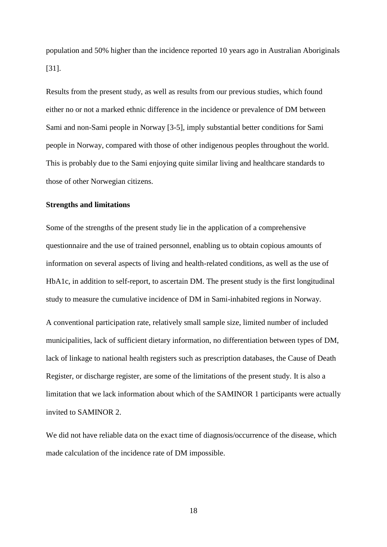population and 50% higher than the incidence reported 10 years ago in Australian Aboriginals [31].

Results from the present study, as well as results from our previous studies, which found either no or not a marked ethnic difference in the incidence or prevalence of DM between Sami and non-Sami people in Norway [3-5], imply substantial better conditions for Sami people in Norway, compared with those of other indigenous peoples throughout the world. This is probably due to the Sami enjoying quite similar living and healthcare standards to those of other Norwegian citizens.

### **Strengths and limitations**

Some of the strengths of the present study lie in the application of a comprehensive questionnaire and the use of trained personnel, enabling us to obtain copious amounts of information on several aspects of living and health-related conditions, as well as the use of HbA1c, in addition to self-report, to ascertain DM. The present study is the first longitudinal study to measure the cumulative incidence of DM in Sami-inhabited regions in Norway.

A conventional participation rate, relatively small sample size, limited number of included municipalities, lack of sufficient dietary information, no differentiation between types of DM, lack of linkage to national health registers such as prescription databases, the Cause of Death Register, or discharge register, are some of the limitations of the present study. It is also a limitation that we lack information about which of the SAMINOR 1 participants were actually invited to SAMINOR 2.

We did not have reliable data on the exact time of diagnosis/occurrence of the disease, which made calculation of the incidence rate of DM impossible.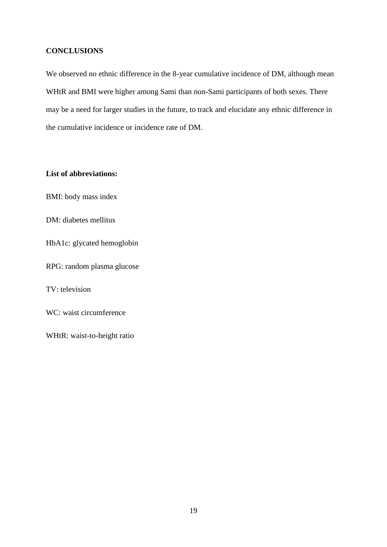## **CONCLUSIONS**

We observed no ethnic difference in the 8-year cumulative incidence of DM, although mean WHtR and BMI were higher among Sami than non-Sami participants of both sexes. There may be a need for larger studies in the future, to track and elucidate any ethnic difference in the cumulative incidence or incidence rate of DM.

## **List of abbreviations:**

BMI: body mass index

DM: diabetes mellitus

HbA1c: glycated hemoglobin

RPG: random plasma glucose

TV: television

WC: waist circumference

WHtR: waist-to-height ratio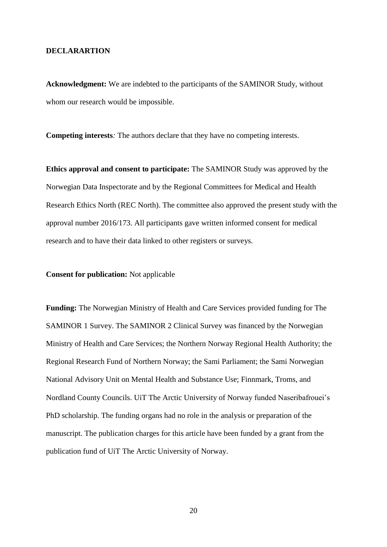#### **DECLARARTION**

**Acknowledgment:** We are indebted to the participants of the SAMINOR Study, without whom our research would be impossible.

**Competing interests***:* The authors declare that they have no competing interests.

**Ethics approval and consent to participate:** The SAMINOR Study was approved by the Norwegian Data Inspectorate and by the Regional Committees for Medical and Health Research Ethics North (REC North). The committee also approved the present study with the approval number 2016/173. All participants gave written informed consent for medical research and to have their data linked to other registers or surveys.

### **Consent for publication:** Not applicable

**Funding:** The Norwegian Ministry of Health and Care Services provided funding for The SAMINOR 1 Survey. The SAMINOR 2 Clinical Survey was financed by the Norwegian Ministry of Health and Care Services; the Northern Norway Regional Health Authority; the Regional Research Fund of Northern Norway; the Sami Parliament; the Sami Norwegian National Advisory Unit on Mental Health and Substance Use; Finnmark, Troms, and Nordland County Councils. UiT The Arctic University of Norway funded Naseribafrouei's PhD scholarship. The funding organs had no role in the analysis or preparation of the manuscript. The publication charges for this article have been funded by a grant from the publication fund of UiT The Arctic University of Norway.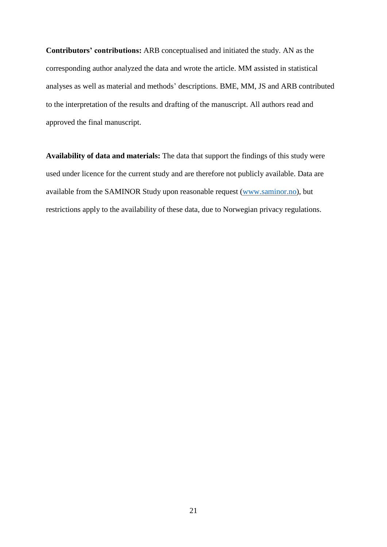**Contributors' contributions:** ARB conceptualised and initiated the study. AN as the corresponding author analyzed the data and wrote the article. MM assisted in statistical analyses as well as material and methods' descriptions. BME, MM, JS and ARB contributed to the interpretation of the results and drafting of the manuscript. All authors read and approved the final manuscript.

**Availability of data and materials:** The data that support the findings of this study were used under licence for the current study and are therefore not publicly available. Data are available from the SAMINOR Study upon reasonable request [\(www.saminor.no\)](http://www.saminor.no/), but restrictions apply to the availability of these data, due to Norwegian privacy regulations.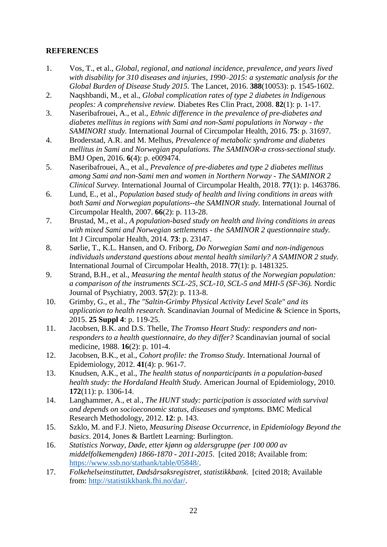# **REFERENCES**

- 1. Vos, T., et al., *Global, regional, and national incidence, prevalence, and years lived with disability for 310 diseases and injuries, 1990–2015: a systematic analysis for the Global Burden of Disease Study 2015.* The Lancet, 2016. **388**(10053): p. 1545-1602.
- 2. Naqshbandi, M., et al., *Global complication rates of type 2 diabetes in Indigenous peoples: A comprehensive review.* Diabetes Res Clin Pract, 2008. **82**(1): p. 1-17.
- 3. Naseribafrouei, A., et al., *Ethnic difference in the prevalence of pre-diabetes and diabetes mellitus in regions with Sami and non-Sami populations in Norway - the SAMINOR1 study.* International Journal of Circumpolar Health, 2016. **75**: p. 31697.
- 4. Broderstad, A.R. and M. Melhus, *Prevalence of metabolic syndrome and diabetes mellitus in Sami and Norwegian populations. The SAMINOR-a cross-sectional study.* BMJ Open, 2016. **6**(4): p. e009474.
- 5. Naseribafrouei, A., et al., *Prevalence of pre-diabetes and type 2 diabetes mellitus among Sami and non-Sami men and women in Northern Norway - The SAMINOR 2 Clinical Survey.* International Journal of Circumpolar Health, 2018. **77**(1): p. 1463786.
- 6. Lund, E., et al., *Population based study of health and living conditions in areas with both Sami and Norwegian populations--the SAMINOR study.* International Journal of Circumpolar Health, 2007. **66**(2): p. 113-28.
- 7. Brustad, M., et al., *A population-based study on health and living conditions in areas with mixed Sami and Norwegian settlements - the SAMINOR 2 questionnaire study.* Int J Circumpolar Health, 2014. **73**: p. 23147.
- 8. Sørlie, T., K.L. Hansen, and O. Friborg, *Do Norwegian Sami and non-indigenous individuals understand questions about mental health similarly? A SAMINOR 2 study.* International Journal of Circumpolar Health, 2018. **77**(1): p. 1481325.
- 9. Strand, B.H., et al., *Measuring the mental health status of the Norwegian population: a comparison of the instruments SCL-25, SCL-10, SCL-5 and MHI-5 (SF-36).* Nordic Journal of Psychiatry, 2003. **57**(2): p. 113-8.
- 10. Grimby, G., et al., *The "Saltin-Grimby Physical Activity Level Scale" and its application to health research.* Scandinavian Journal of Medicine & Science in Sports, 2015. **25 Suppl 4**: p. 119-25.
- 11. Jacobsen, B.K. and D.S. Thelle, *The Tromso Heart Study: responders and nonresponders to a health questionnaire, do they differ?* Scandinavian journal of social medicine, 1988. **16**(2): p. 101-4.
- 12. Jacobsen, B.K., et al., *Cohort profile: the Tromso Study.* International Journal of Epidemiology, 2012. **41**(4): p. 961-7.
- 13. Knudsen, A.K., et al., *The health status of nonparticipants in a population-based health study: the Hordaland Health Study.* American Journal of Epidemiology, 2010. **172**(11): p. 1306-14.
- 14. Langhammer, A., et al., *The HUNT study: participation is associated with survival and depends on socioeconomic status, diseases and symptoms.* BMC Medical Research Methodology, 2012. **12**: p. 143.
- 15. Szklo, M. and F.J. Nieto, *Measuring Disease Occurrence*, in *Epidemiology Beyond the basics*. 2014, Jones & Bartlett Learning: Burlington.
- 16. *Statistics Norway, Døde, etter kjønn og aldersgruppe (per 100 000 av middelfolkemengden) 1866-1870 - 2011-2015*. [cited 2018; Available from: [https://www.ssb.no/statbank/table/05848/.](https://www.ssb.no/statbank/table/05848/)
- 17. *Folkehelseinstituttet, Dødsårsaksregistret, statistikkbank*. [cited 2018; Available from: [http://statistikkbank.fhi.no/dar/.](http://statistikkbank.fhi.no/dar/)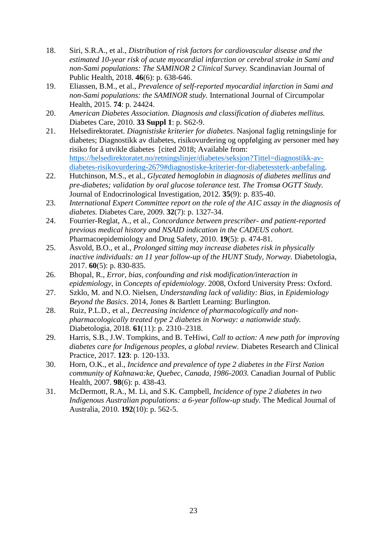- 18. Siri, S.R.A., et al., *Distribution of risk factors for cardiovascular disease and the estimated 10-year risk of acute myocardial infarction or cerebral stroke in Sami and non-Sami populations: The SAMINOR 2 Clinical Survey.* Scandinavian Journal of Public Health, 2018. **46**(6): p. 638-646.
- 19. Eliassen, B.M., et al., *Prevalence of self-reported myocardial infarction in Sami and non-Sami populations: the SAMINOR study.* International Journal of Circumpolar Health, 2015. **74**: p. 24424.
- 20. *American Diabetes Association. Diagnosis and classification of diabetes mellitus.* Diabetes Care, 2010. **33 Suppl 1**: p. S62-9.
- 21. Helsedirektoratet. *Diagnistiske kriterier for diabetes*. Nasjonal faglig retningslinje for diabetes; Diagnostikk av diabetes, risikovurdering og oppfølging av personer med høy risiko for å utvikle diabetes [cited 2018; Available from: [https://helsedirektoratet.no/retningslinjer/diabetes/seksjon?Tittel=diagnostikk-av](https://helsedirektoratet.no/retningslinjer/diabetes/seksjon?Tittel=diagnostikk-av-diabetes-risikovurdering-2679#diagnostiske-kriterier-for-diabetessterk-anbefaling)[diabetes-risikovurdering-2679#diagnostiske-kriterier-for-diabetessterk-anbefaling.](https://helsedirektoratet.no/retningslinjer/diabetes/seksjon?Tittel=diagnostikk-av-diabetes-risikovurdering-2679#diagnostiske-kriterier-for-diabetessterk-anbefaling)
- 22. Hutchinson, M.S., et al., *Glycated hemoglobin in diagnosis of diabetes mellitus and pre-diabetes; validation by oral glucose tolerance test. The Tromsø OGTT Study.* Journal of Endocrinological Investigation, 2012. **35**(9): p. 835-40.
- 23. *International Expert Committee report on the role of the A1C assay in the diagnosis of diabetes.* Diabetes Care, 2009. **32**(7): p. 1327-34.
- 24. Fourrier-Reglat, A., et al., *Concordance between prescriber- and patient-reported previous medical history and NSAID indication in the CADEUS cohort.* Pharmacoepidemiology and Drug Safety, 2010. **19**(5): p. 474-81.
- 25. Åsvold, B.O., et al., *Prolonged sitting may increase diabetes risk in physically inactive individuals: an 11 year follow-up of the HUNT Study, Norway.* Diabetologia, 2017. **60**(5): p. 830-835.
- 26. Bhopal, R., *Error, bias, confounding and risk modification/interaction in epidemiology*, in *Concepts of epidemiology*. 2008, Oxford University Press: Oxford.
- 27. Szklo, M. and N.O. Nielsen, *Understanding lack of validity: Bias*, in *Epidemiology Beyond the Basics*. 2014, Jones & Bartlett Learning: Burlington.
- 28. Ruiz, P.L.D., et al., *Decreasing incidence of pharmacologically and nonpharmacologically treated type 2 diabetes in Norway: a nationwide study.* Diabetologia, 2018. **61**(11): p. 2310–2318.
- 29. Harris, S.B., J.W. Tompkins, and B. TeHiwi, *Call to action: A new path for improving diabetes care for Indigenous peoples, a global review.* Diabetes Research and Clinical Practice, 2017. **123**: p. 120-133.
- 30. Horn, O.K., et al., *Incidence and prevalence of type 2 diabetes in the First Nation community of Kahnawa:ke, Quebec, Canada, 1986-2003.* Canadian Journal of Public Health, 2007. **98**(6): p. 438-43.
- 31. McDermott, R.A., M. Li, and S.K. Campbell, *Incidence of type 2 diabetes in two Indigenous Australian populations: a 6-year follow-up study.* The Medical Journal of Australia, 2010. **192**(10): p. 562-5.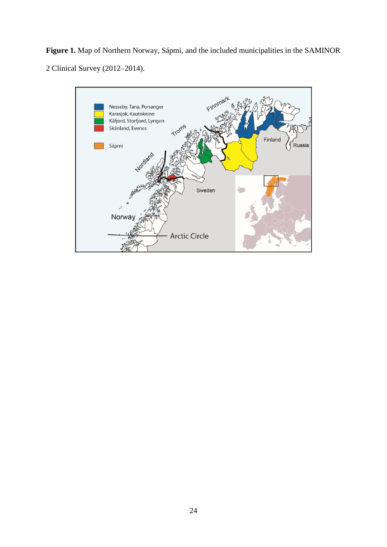**Figure 1.** Map of Northern Norway, Sápmi, and the included municipalities in the SAMINOR Clinical Survey (2012–2014).